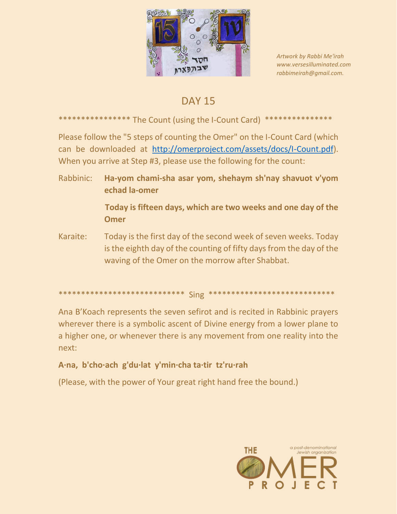

Artwork by Rabbi Me'irah www.versesilluminated.com rabbimeirah@gmail.com.

# **DAY 15**

## \*\*\*\*\*\*\*\*\*\*\*\*\*\*\*\* The Count (using the I-Count Card) \*\*\*\*\*\*\*

Please follow the "5 steps of counting the Omer" on the I-Count Card (which can be downloaded at http://omerproject.com/assets/docs/I-Count.pdf). When you arrive at Step #3, please use the following for the count:

- Rabbinic: Ha-yom chami-sha asar yom, shehaym sh'nay shavuot v'yom echad la-omer Today is fifteen days, which are two weeks and one day of the **Omer**
- Karaite: Today is the first day of the second week of seven weeks. Today is the eighth day of the counting of fifty days from the day of the waving of the Omer on the morrow after Shabbat.

### 

Ana B'Koach represents the seven sefirot and is recited in Rabbinic prayers wherever there is a symbolic ascent of Divine energy from a lower plane to a higher one, or whenever there is any movement from one reality into the next:

# A·na, b'cho·ach g'du·lat y'min·cha ta·tir tz'ru·rah

(Please, with the power of Your great right hand free the bound.)

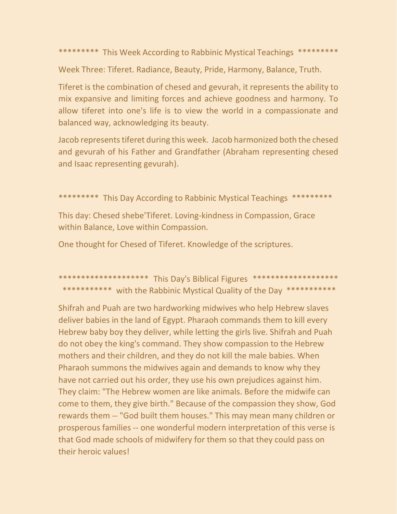\*\*\*\*\*\*\*\*\* This Week According to Rabbinic Mystical Teachings \*\*\*\*\*\*\*\*\*

Week Three: Tiferet. Radiance, Beauty, Pride, Harmony, Balance, Truth.

Tiferet is the combination of chesed and gevurah, it represents the ability to mix expansive and limiting forces and achieve goodness and harmony. To allow tiferet into one's life is to view the world in a compassionate and balanced way, acknowledging its beauty.

Jacob represents tiferet during this week. Jacob harmonized both the chesed and gevurah of his Father and Grandfather (Abraham representing chesed and Isaac representing gevurah).

\*\*\*\*\*\*\*\*\* This Day According to Rabbinic Mystical Teachings \*\*\*\*\*\*\*\*\*

This day: Chesed shebe'Tiferet. Loving-kindness in Compassion, Grace within Balance, Love within Compassion.

One thought for Chesed of Tiferet. Knowledge of the scriptures.

\*\*\*\*\*\*\*\*\*\*\*\*\*\*\*\*\*\*\*\*\* This Day's Biblical Figures \*\*\*\*\*\*\*\*\*\*\*\*\*\*\*\*\*\*\*\* \*\*\*\*\*\*\*\*\*\*\* with the Rabbinic Mystical Quality of the Day \*\*\*\*\*\*\*\*\*\*\*

Shifrah and Puah are two hardworking midwives who help Hebrew slaves deliver babies in the land of Egypt. Pharaoh commands them to kill every Hebrew baby boy they deliver, while letting the girls live. Shifrah and Puah do not obey the king's command. They show compassion to the Hebrew mothers and their children, and they do not kill the male babies. When Pharaoh summons the midwives again and demands to know why they have not carried out his order, they use his own prejudices against him. They claim: "The Hebrew women are like animals. Before the midwife can come to them, they give birth." Because of the compassion they show, God rewards them -- "God built them houses." This may mean many children or prosperous families -- one wonderful modern interpretation of this verse is that God made schools of midwifery for them so that they could pass on their heroic values!